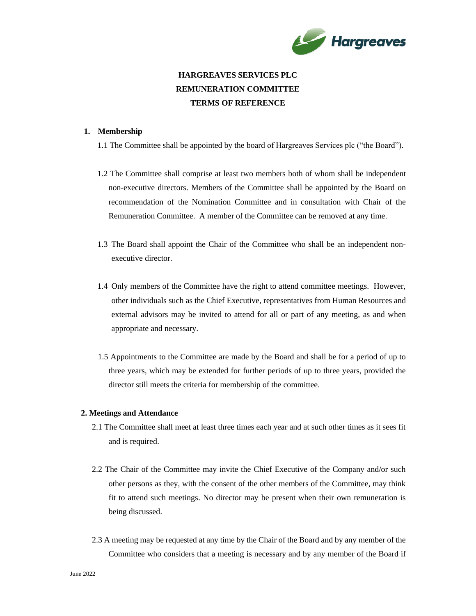

# **HARGREAVES SERVICES PLC REMUNERATION COMMITTEE TERMS OF REFERENCE**

### **1. Membership**

1.1 The Committee shall be appointed by the board of Hargreaves Services plc ("the Board").

- 1.2 The Committee shall comprise at least two members both of whom shall be independent non-executive directors. Members of the Committee shall be appointed by the Board on recommendation of the Nomination Committee and in consultation with Chair of the Remuneration Committee. A member of the Committee can be removed at any time.
- 1.3 The Board shall appoint the Chair of the Committee who shall be an independent nonexecutive director.
- 1.4 Only members of the Committee have the right to attend committee meetings. However, other individuals such as the Chief Executive, representatives from Human Resources and external advisors may be invited to attend for all or part of any meeting, as and when appropriate and necessary.
- 1.5 Appointments to the Committee are made by the Board and shall be for a period of up to three years, which may be extended for further periods of up to three years, provided the director still meets the criteria for membership of the committee.

## **2. Meetings and Attendance**

- 2.1 The Committee shall meet at least three times each year and at such other times as it sees fit and is required.
- 2.2 The Chair of the Committee may invite the Chief Executive of the Company and/or such other persons as they, with the consent of the other members of the Committee, may think fit to attend such meetings. No director may be present when their own remuneration is being discussed.
- 2.3 A meeting may be requested at any time by the Chair of the Board and by any member of the Committee who considers that a meeting is necessary and by any member of the Board if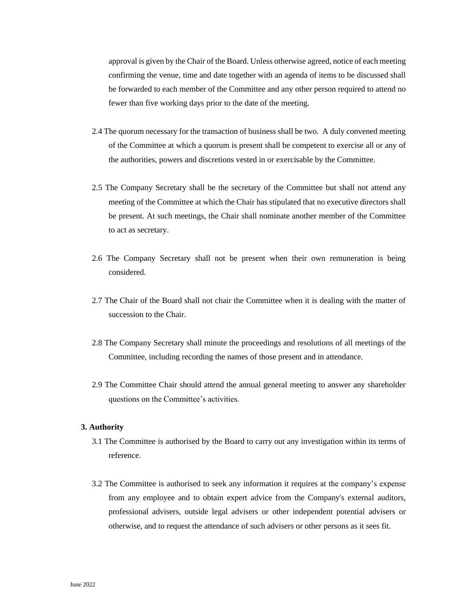approval is given by the Chair of the Board. Unless otherwise agreed, notice of each meeting confirming the venue, time and date together with an agenda of items to be discussed shall be forwarded to each member of the Committee and any other person required to attend no fewer than five working days prior to the date of the meeting.

- 2.4 The quorum necessary for the transaction of business shall be two. A duly convened meeting of the Committee at which a quorum is present shall be competent to exercise all or any of the authorities, powers and discretions vested in or exercisable by the Committee.
- 2.5 The Company Secretary shall be the secretary of the Committee but shall not attend any meeting of the Committee at which the Chair has stipulated that no executive directors shall be present. At such meetings, the Chair shall nominate another member of the Committee to act as secretary.
- 2.6 The Company Secretary shall not be present when their own remuneration is being considered.
- 2.7 The Chair of the Board shall not chair the Committee when it is dealing with the matter of succession to the Chair.
- 2.8 The Company Secretary shall minute the proceedings and resolutions of all meetings of the Committee, including recording the names of those present and in attendance.
- 2.9 The Committee Chair should attend the annual general meeting to answer any shareholder questions on the Committee's activities.

### **3. Authority**

- 3.1 The Committee is authorised by the Board to carry out any investigation within its terms of reference.
- 3.2 The Committee is authorised to seek any information it requires at the company's expense from any employee and to obtain expert advice from the Company's external auditors, professional advisers, outside legal advisers or other independent potential advisers or otherwise, and to request the attendance of such advisers or other persons as it sees fit.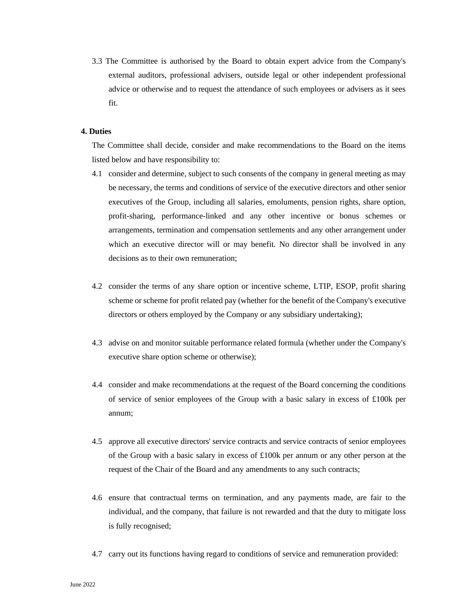3.3 The Committee is authorised by the Board to obtain expert advice from the Company's external auditors, professional advisers, outside legal or other independent professional advice or otherwise and to request the attendance of such employees or advisers as it sees fit.

#### **4. Duties**

The Committee shall decide, consider and make recommendations to the Board on the items listed below and have responsibility to:

- 4.1 consider and determine, subject to such consents of the company in general meeting as may be necessary, the terms and conditions of service of the executive directors and other senior executives of the Group, including all salaries, emoluments, pension rights, share option, profit-sharing, performance-linked and any other incentive or bonus schemes or arrangements, termination and compensation settlements and any other arrangement under which an executive director will or may benefit. No director shall be involved in any decisions as to their own remuneration;
- 4.2 consider the terms of any share option or incentive scheme, LTIP, ESOP, profit sharing scheme or scheme for profit related pay (whether for the benefit of the Company's executive directors or others employed by the Company or any subsidiary undertaking);
- 4.3 advise on and monitor suitable performance related formula (whether under the Company's executive share option scheme or otherwise);
- 4.4 consider and make recommendations at the request of the Board concerning the conditions of service of senior employees of the Group with a basic salary in excess of £100k per annum;
- 4.5 approve all executive directors' service contracts and service contracts of senior employees of the Group with a basic salary in excess of  $\pounds100k$  per annum or any other person at the request of the Chair of the Board and any amendments to any such contracts;
- 4.6 ensure that contractual terms on termination, and any payments made, are fair to the individual, and the company, that failure is not rewarded and that the duty to mitigate loss is fully recognised;
- 4.7 carry out its functions having regard to conditions of service and remuneration provided: